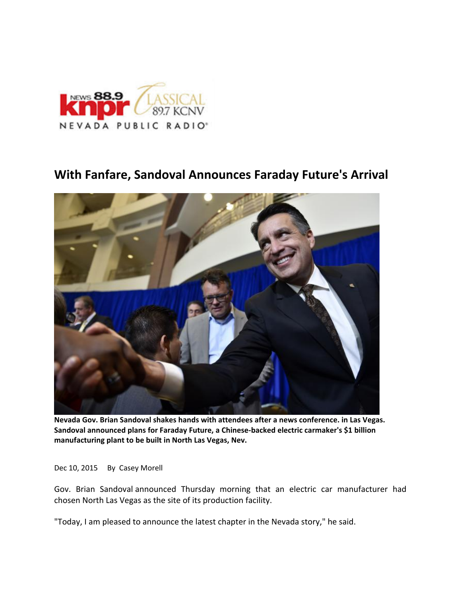

## **With Fanfare, Sandoval Announces Faraday Future's Arrival**



**Nevada Gov. Brian Sandoval shakes hands with attendees after a news conference. in Las Vegas. Sandoval announced plans for Faraday Future, a Chinese‐backed electric carmaker's \$1 billion manufacturing plant to be built in North Las Vegas, Nev.**

Dec 10, 2015 By Casey Morell

Gov. Brian Sandoval announced Thursday morning that an electric car manufacturer had chosen North Las Vegas as the site of its production facility.

"Today, I am pleased to announce the latest chapter in the Nevada story," he said.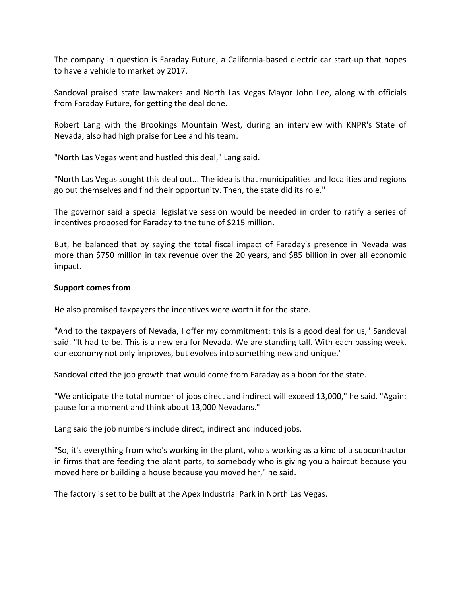The company in question is Faraday Future, a California‐based electric car start‐up that hopes to have a vehicle to market by 2017.

Sandoval praised state lawmakers and North Las Vegas Mayor John Lee, along with officials from Faraday Future, for getting the deal done.

Robert Lang with the Brookings Mountain West, during an interview with KNPR's State of Nevada, also had high praise for Lee and his team.

"North Las Vegas went and hustled this deal," Lang said.

"North Las Vegas sought this deal out... The idea is that municipalities and localities and regions go out themselves and find their opportunity. Then, the state did its role."

The governor said a special legislative session would be needed in order to ratify a series of incentives proposed for Faraday to the tune of \$215 million.

But, he balanced that by saying the total fiscal impact of Faraday's presence in Nevada was more than \$750 million in tax revenue over the 20 years, and \$85 billion in over all economic impact.

## **Support comes from**

He also promised taxpayers the incentives were worth it for the state.

"And to the taxpayers of Nevada, I offer my commitment: this is a good deal for us," Sandoval said. "It had to be. This is a new era for Nevada. We are standing tall. With each passing week, our economy not only improves, but evolves into something new and unique."

Sandoval cited the job growth that would come from Faraday as a boon for the state.

"We anticipate the total number of jobs direct and indirect will exceed 13,000," he said. "Again: pause for a moment and think about 13,000 Nevadans."

Lang said the job numbers include direct, indirect and induced jobs.

"So, it's everything from who's working in the plant, who's working as a kind of a subcontractor in firms that are feeding the plant parts, to somebody who is giving you a haircut because you moved here or building a house because you moved her," he said.

The factory is set to be built at the Apex Industrial Park in North Las Vegas.